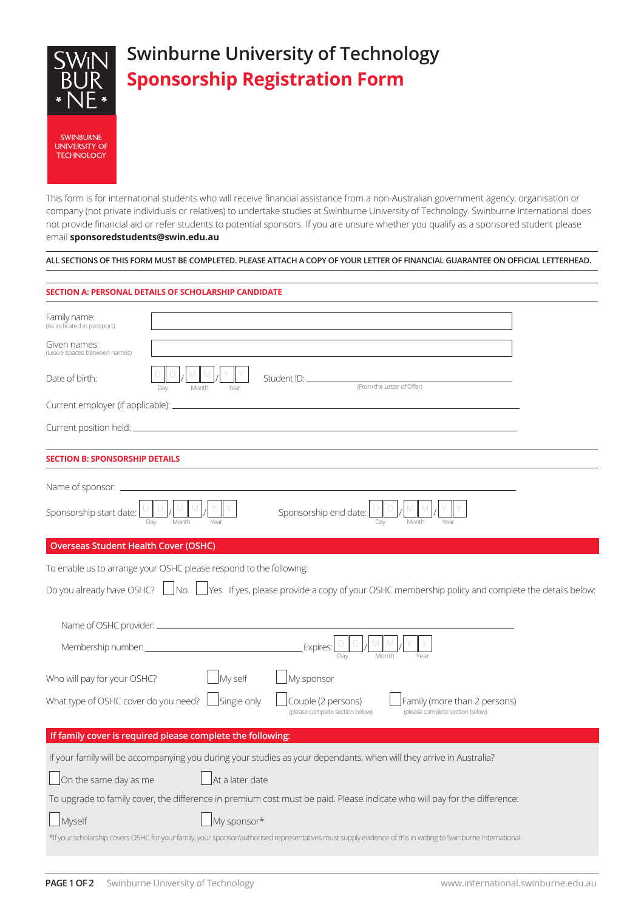

This form is for international students who will receive financial assistance from a non-Australian government agency, organisation or company (not private individuals or relatives) to undertake studies at Swinburne University of Technology. Swinburne International does not provide financial aid or refer students to potential sponsors. If you are unsure whether you qualify as a sponsored student please email **sponsoredstudents@swin.edu.au**

## **ALL SECTIONS OF THIS FORM MUST BE COMPLETED. PLEASE ATTACH A COPY OF YOUR LETTER OF FINANCIAL GUARANTEE ON OFFICIAL LETTERHEAD.**

## **SECTION A: PERSONAL DETAILS OF SCHOLARSHIP CANDIDATE**

| Family name:<br>(As indicated in passport)                                                                                        |                                                                                                                                                                                     |  |  |
|-----------------------------------------------------------------------------------------------------------------------------------|-------------------------------------------------------------------------------------------------------------------------------------------------------------------------------------|--|--|
| Given names:<br>(Leave spaces between names)                                                                                      |                                                                                                                                                                                     |  |  |
| Date of birth:                                                                                                                    | Student ID: _<br>(From the Letter of Offer)<br>Month<br>Dav<br>Year                                                                                                                 |  |  |
| Current employer (if applicable): _____________                                                                                   |                                                                                                                                                                                     |  |  |
|                                                                                                                                   |                                                                                                                                                                                     |  |  |
| <b>SECTION B: SPONSORSHIP DETAILS</b>                                                                                             |                                                                                                                                                                                     |  |  |
| Name of sponsor: _                                                                                                                |                                                                                                                                                                                     |  |  |
| Sponsorship start date:                                                                                                           | Sponsorship end date:<br>Day<br>Month<br>Month<br>Year<br>Day                                                                                                                       |  |  |
| <b>Overseas Student Health Cover (OSHC)</b>                                                                                       |                                                                                                                                                                                     |  |  |
|                                                                                                                                   | To enable us to arrange your OSHC please respond to the following:                                                                                                                  |  |  |
| Do you already have OSHC? □ No □ Yes If yes, please provide a copy of your OSHC membership policy and complete the details below: |                                                                                                                                                                                     |  |  |
|                                                                                                                                   |                                                                                                                                                                                     |  |  |
| Membership number: ______________                                                                                                 | Expires:<br>Dav<br>Month<br>Year                                                                                                                                                    |  |  |
| Who will pay for your OSHC?                                                                                                       | My self<br>My sponsor                                                                                                                                                               |  |  |
|                                                                                                                                   | What type of OSHC cover do you need? $\Box$ Single only<br>Couple (2 persons)<br>Family (more than 2 persons)<br>(please complete section below)<br>(please complete section below) |  |  |
|                                                                                                                                   | If family cover is required please complete the following:                                                                                                                          |  |  |
|                                                                                                                                   | If your family will be accompanying you during your studies as your dependants, when will they arrive in Australia?                                                                 |  |  |
| On the same day as me                                                                                                             | At a later date                                                                                                                                                                     |  |  |
|                                                                                                                                   | To upgrade to family cover, the difference in premium cost must be paid. Please indicate who will pay for the difference:                                                           |  |  |
| Myself                                                                                                                            | My sponsor*                                                                                                                                                                         |  |  |
|                                                                                                                                   | *If your scholarship covers OSHC for your family, your sponsor/authorised representatives must supply evidence of this in writing to Swinburne International.                       |  |  |